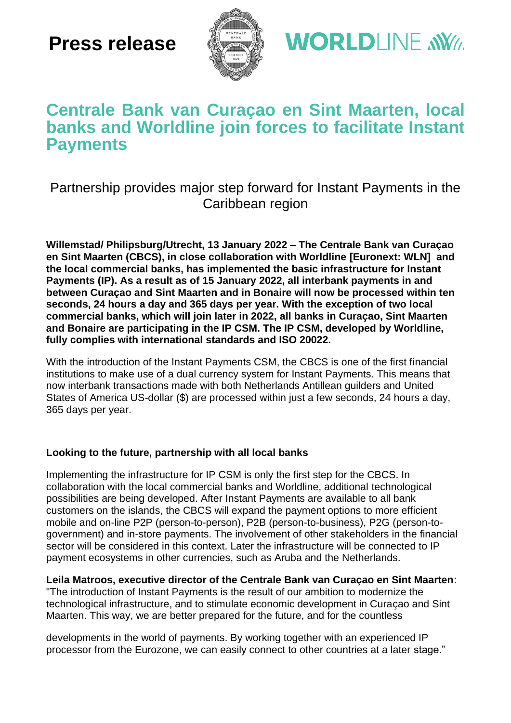# **Press release**



**WORLDLINE NWW** 

## **Centrale Bank van Curaçao en Sint Maarten, local banks and Worldline join forces to facilitate Instant Payments**

## Partnership provides major step forward for Instant Payments in the Caribbean region

**Willemstad/ Philipsburg/Utrecht, 13 January 2022 – The Centrale Bank van Curaçao en Sint Maarten (CBCS), in close collaboration with Worldline [Euronext: WLN] and the local commercial banks, has implemented the basic infrastructure for Instant Payments (IP). As a result as of 15 January 2022, all interbank payments in and between Curaçao and Sint Maarten and in Bonaire will now be processed within ten seconds, 24 hours a day and 365 days per year. With the exception of two local commercial banks, which will join later in 2022, all banks in Curaçao, Sint Maarten and Bonaire are participating in the IP CSM. The IP CSM, developed by Worldline, fully complies with international standards and ISO 20022.**

With the introduction of the Instant Payments CSM, the CBCS is one of the first financial institutions to make use of a dual currency system for Instant Payments. This means that now interbank transactions made with both Netherlands Antillean guilders and United States of America US-dollar (\$) are processed within just a few seconds, 24 hours a day, 365 days per year.

### **Looking to the future, partnership with all local banks**

Implementing the infrastructure for IP CSM is only the first step for the CBCS. In collaboration with the local commercial banks and Worldline, additional technological possibilities are being developed. After Instant Payments are available to all bank customers on the islands, the CBCS will expand the payment options to more efficient mobile and on-line P2P (person-to-person), P2B (person-to-business), P2G (person-togovernment) and in-store payments. The involvement of other stakeholders in the financial sector will be considered in this context. Later the infrastructure will be connected to IP payment ecosystems in other currencies, such as Aruba and the Netherlands.

**Leila Matroos, executive director of the Centrale Bank van Curaçao en Sint Maarten**:

"The introduction of Instant Payments is the result of our ambition to modernize the technological infrastructure, and to stimulate economic development in Curaçao and Sint Maarten. This way, we are better prepared for the future, and for the countless

developments in the world of payments. By working together with an experienced IP processor from the Eurozone, we can easily connect to other countries at a later stage."